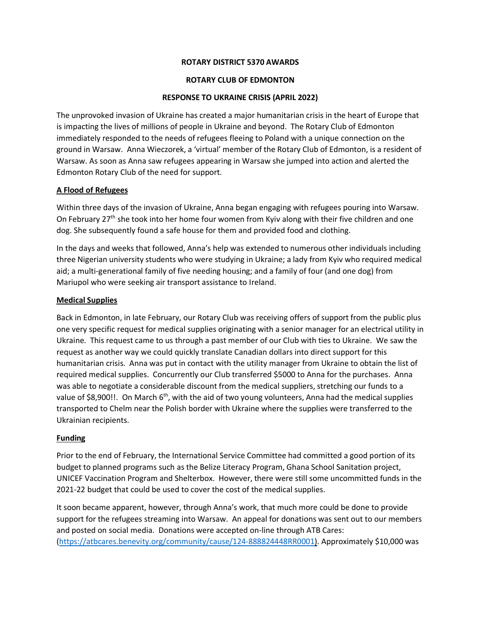### **ROTARY DISTRICT 5370 AWARDS**

#### **ROTARY CLUB OF EDMONTON**

### **RESPONSE TO UKRAINE CRISIS (APRIL 2022)**

The unprovoked invasion of Ukraine has created a major humanitarian crisis in the heart of Europe that is impacting the lives of millions of people in Ukraine and beyond. The Rotary Club of Edmonton immediately responded to the needs of refugees fleeing to Poland with a unique connection on the ground in Warsaw. Anna Wieczorek, a 'virtual' member of the Rotary Club of Edmonton, is a resident of Warsaw. As soon as Anna saw refugees appearing in Warsaw she jumped into action and alerted the Edmonton Rotary Club of the need for support.

### **A Flood of Refugees**

Within three days of the invasion of Ukraine, Anna began engaging with refugees pouring into Warsaw. On February 27<sup>th</sup> she took into her home four women from Kyiv along with their five children and one dog. She subsequently found a safe house for them and provided food and clothing.

In the days and weeks that followed, Anna's help was extended to numerous other individuals including three Nigerian university students who were studying in Ukraine; a lady from Kyiv who required medical aid; a multi-generational family of five needing housing; and a family of four (and one dog) from Mariupol who were seeking air transport assistance to Ireland.

### **Medical Supplies**

Back in Edmonton, in late February, our Rotary Club was receiving offers of support from the public plus one very specific request for medical supplies originating with a senior manager for an electrical utility in Ukraine. This request came to us through a past member of our Club with ties to Ukraine. We saw the request as another way we could quickly translate Canadian dollars into direct support for this humanitarian crisis. Anna was put in contact with the utility manager from Ukraine to obtain the list of required medical supplies. Concurrently our Club transferred \$5000 to Anna for the purchases. Anna was able to negotiate a considerable discount from the medical suppliers, stretching our funds to a value of \$8,900!!. On March  $6<sup>th</sup>$ , with the aid of two young volunteers, Anna had the medical supplies transported to Chelm near the Polish border with Ukraine where the supplies were transferred to the Ukrainian recipients.

### **Funding**

Prior to the end of February, the International Service Committee had committed a good portion of its budget to planned programs such as the Belize Literacy Program, Ghana School Sanitation project, UNICEF Vaccination Program and Shelterbox. However, there were still some uncommitted funds in the 2021-22 budget that could be used to cover the cost of the medical supplies.

It soon became apparent, however, through Anna's work, that much more could be done to provide support for the refugees streaming into Warsaw. An appeal for donations was sent out to our members and posted on social media. Donations were accepted on-line through ATB Cares: [\(https://atbcares.benevity.org/community/cause/124-888824448RR0001](https://atbcares.benevity.org/community/cause/124-888824448RR0001)). Approximately \$10,000 was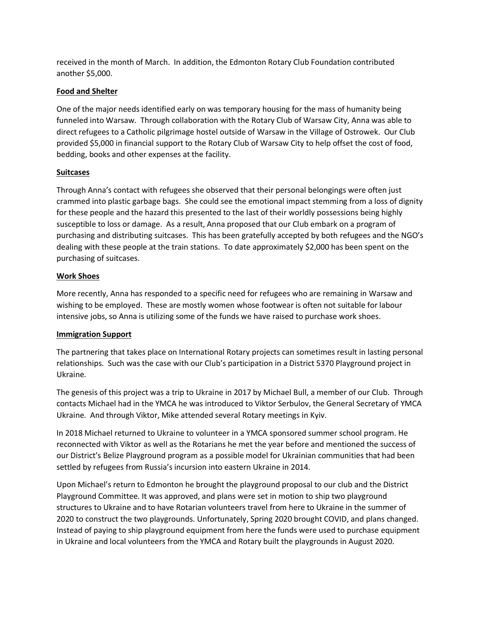received in the month of March. In addition, the Edmonton Rotary Club Foundation contributed another \$5,000.

## **Food and Shelter**

One of the major needs identified early on was temporary housing for the mass of humanity being funneled into Warsaw. Through collaboration with the Rotary Club of Warsaw City, Anna was able to direct refugees to a Catholic pilgrimage hostel outside of Warsaw in the Village of Ostrowek. Our Club provided \$5,000 in financial support to the Rotary Club of Warsaw City to help offset the cost of food, bedding, books and other expenses at the facility.

### **Suitcases**

Through Anna's contact with refugees she observed that their personal belongings were often just crammed into plastic garbage bags. She could see the emotional impact stemming from a loss of dignity for these people and the hazard this presented to the last of their worldly possessions being highly susceptible to loss or damage. As a result, Anna proposed that our Club embark on a program of purchasing and distributing suitcases. This has been gratefully accepted by both refugees and the NGO's dealing with these people at the train stations. To date approximately \$2,000 has been spent on the purchasing of suitcases.

## **Work Shoes**

More recently, Anna has responded to a specific need for refugees who are remaining in Warsaw and wishing to be employed. These are mostly women whose footwear is often not suitable for labour intensive jobs, so Anna is utilizing some of the funds we have raised to purchase work shoes.

# **Immigration Support**

The partnering that takes place on International Rotary projects can sometimes result in lasting personal relationships. Such was the case with our Club's participation in a District 5370 Playground project in Ukraine.

The genesis of this project was a trip to Ukraine in 2017 by Michael Bull, a member of our Club. Through contacts Michael had in the YMCA he was introduced to Viktor Serbulov, the General Secretary of YMCA Ukraine. And through Viktor, Mike attended several Rotary meetings in Kyiv.

In 2018 Michael returned to Ukraine to volunteer in a YMCA sponsored summer school program. He reconnected with Viktor as well as the Rotarians he met the year before and mentioned the success of our District's Belize Playground program as a possible model for Ukrainian communities that had been settled by refugees from Russia's incursion into eastern Ukraine in 2014.

Upon Michael's return to Edmonton he brought the playground proposal to our club and the District Playground Committee. It was approved, and plans were set in motion to ship two playground structures to Ukraine and to have Rotarian volunteers travel from here to Ukraine in the summer of 2020 to construct the two playgrounds. Unfortunately, Spring 2020 brought COVID, and plans changed. Instead of paying to ship playground equipment from here the funds were used to purchase equipment in Ukraine and local volunteers from the YMCA and Rotary built the playgrounds in August 2020.